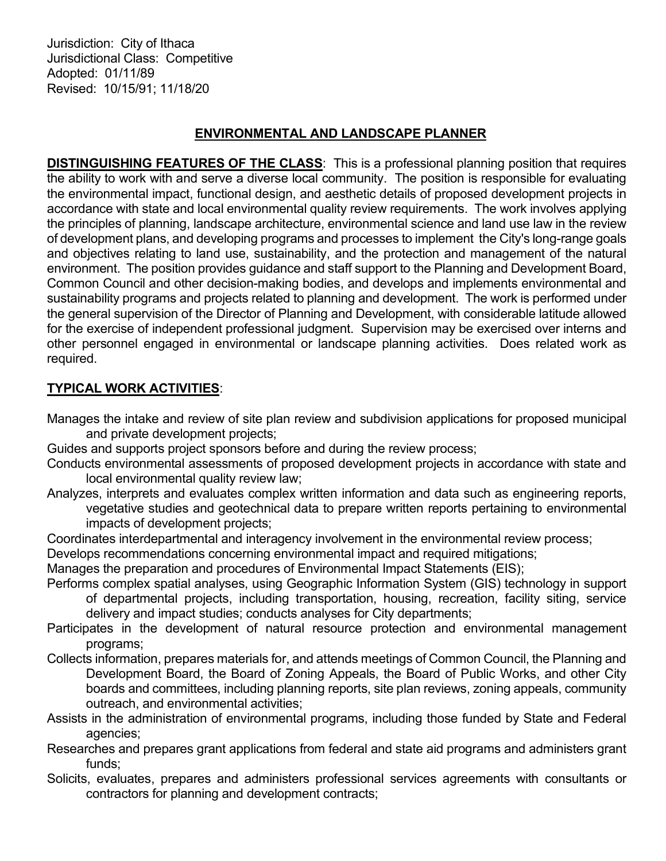Jurisdiction: City of Ithaca Jurisdictional Class: Competitive Adopted: 01/11/89 Revised: 10/15/91; 11/18/20

# ENVIRONMENTAL AND LANDSCAPE PLANNER

DISTINGUISHING FEATURES OF THE CLASS: This is a professional planning position that requires the ability to work with and serve a diverse local community. The position is responsible for evaluating the environmental impact, functional design, and aesthetic details of proposed development projects in accordance with state and local environmental quality review requirements. The work involves applying the principles of planning, landscape architecture, environmental science and land use law in the review of development plans, and developing programs and processes to implement the City's long-range goals and objectives relating to land use, sustainability, and the protection and management of the natural environment. The position provides guidance and staff support to the Planning and Development Board, Common Council and other decision-making bodies, and develops and implements environmental and sustainability programs and projects related to planning and development. The work is performed under the general supervision of the Director of Planning and Development, with considerable latitude allowed for the exercise of independent professional judgment. Supervision may be exercised over interns and other personnel engaged in environmental or landscape planning activities. Does related work as required.

# TYPICAL WORK ACTIVITIES:

- Manages the intake and review of site plan review and subdivision applications for proposed municipal and private development projects;
- Guides and supports project sponsors before and during the review process;
- Conducts environmental assessments of proposed development projects in accordance with state and local environmental quality review law;
- Analyzes, interprets and evaluates complex written information and data such as engineering reports, vegetative studies and geotechnical data to prepare written reports pertaining to environmental impacts of development projects;
- Coordinates interdepartmental and interagency involvement in the environmental review process;

Develops recommendations concerning environmental impact and required mitigations;

Manages the preparation and procedures of Environmental Impact Statements (EIS);

- Performs complex spatial analyses, using Geographic Information System (GIS) technology in support of departmental projects, including transportation, housing, recreation, facility siting, service delivery and impact studies; conducts analyses for City departments;
- Participates in the development of natural resource protection and environmental management programs;
- Collects information, prepares materials for, and attends meetings of Common Council, the Planning and Development Board, the Board of Zoning Appeals, the Board of Public Works, and other City boards and committees, including planning reports, site plan reviews, zoning appeals, community outreach, and environmental activities;
- Assists in the administration of environmental programs, including those funded by State and Federal agencies;
- Researches and prepares grant applications from federal and state aid programs and administers grant funds;
- Solicits, evaluates, prepares and administers professional services agreements with consultants or contractors for planning and development contracts;